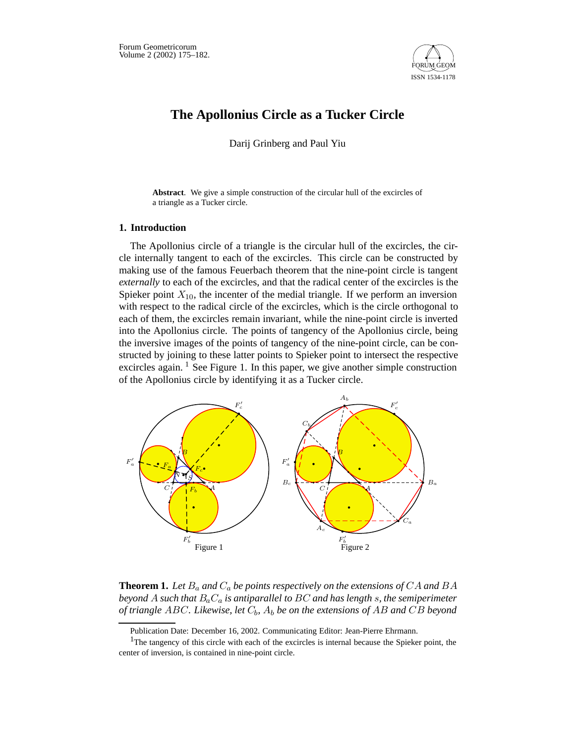

# **The Apollonius Circle as a Tucker Circle**

Darij Grinberg and Paul Yiu

**Abstract**. We give a simple construction of the circular hull of the excircles of a triangle as a Tucker circle.

# **1. Introduction**

The Apollonius circle of a triangle is the circular hull of the excircles, the circle internally tangent to each of the excircles. This circle can be constructed by making use of the famous Feuerbach theorem that the nine-point circle is tangent *externally* to each of the excircles, and that the radical center of the excircles is the Spieker point  $X_{10}$ , the incenter of the medial triangle. If we perform an inversion with respect to the radical circle of the excircles, which is the circle orthogonal to each of them, the excircles remain invariant, while the nine-point circle is inverted into the Apollonius circle. The points of tangency of the Apollonius circle, being the inversive images of the points of tangency of the nine-point circle, can be constructed by joining to these latter points to Spieker point to intersect the respective excircles again.  $\frac{1}{1}$  See Figure 1. In this paper, we give another simple construction of the Apollonius circle by identifying it as a Tucker circle.



**Theorem 1.** Let  $B_a$  and  $C_a$  be points respectively on the extensions of CA and BA *beyond* A *such that* BaC<sup>a</sup> *is antiparallel to* BC *and has length* s*, the semiperimeter of triangle* ABC*. Likewise, let* Cb*,* A<sup>b</sup> *be on the extensions of* AB *and* CB *beyond*

Publication Date: December 16, 2002. Communicating Editor: Jean-Pierre Ehrmann.

<sup>&</sup>lt;sup>1</sup>The tangency of this circle with each of the excircles is internal because the Spieker point, the center of inversion, is contained in nine-point circle.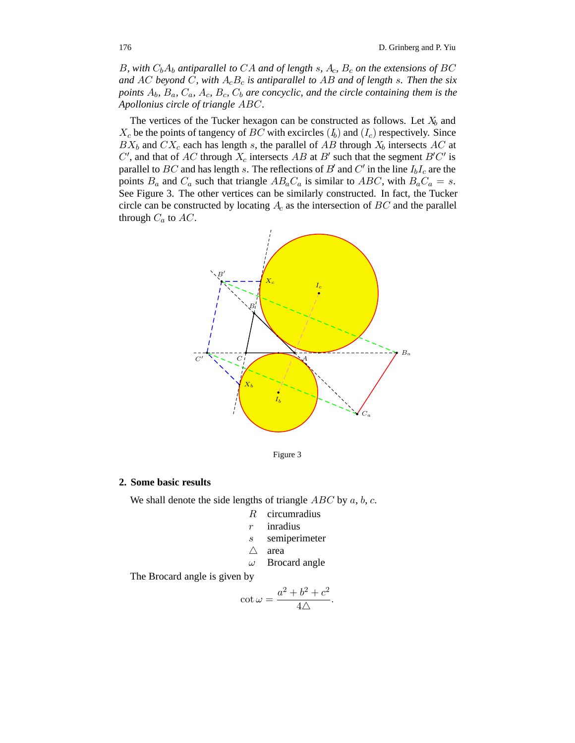B, with  $C_bA_b$  antiparallel to CA and of length s,  $A_c$ ,  $B_c$  on the extensions of BC and AC beyond C, with  $A<sub>c</sub>B<sub>c</sub>$  *is antiparallel to AB and of length s. Then the six points*  $A_b$ ,  $B_a$ ,  $C_a$ ,  $A_c$ ,  $B_c$ ,  $C_b$  *are concyclic, and the circle containing them is the Apollonius circle of triangle* ABC*.*

The vertices of the Tucker hexagon can be constructed as follows. Let  $X_b$  and  $X_c$  be the points of tangency of BC with excircles  $(I_b)$  and  $(I_c)$  respectively. Since  $BX_b$  and  $CX_c$  each has length s, the parallel of AB through  $X_b$  intersects AC at C', and that of AC through  $X_c$  intersects AB at B' such that the segment B'C' is parallel to BC and has length s. The reflections of B' and C' in the line  $I_bI_c$  are the points  $B_a$  and  $C_a$  such that triangle  $AB_aC_a$  is similar to  $ABC$ , with  $B_aC_a = s$ . See Figure 3. The other vertices can be similarly constructed. In fact, the Tucker circle can be constructed by locating  $A_c$  as the intersection of  $BC$  and the parallel through  $C_a$  to  $AC$ .



Figure 3

## **2. Some basic results**

We shall denote the side lengths of triangle  $ABC$  by  $a, b, c$ .

- R circumradius
- r inradius
- s semiperimeter
- $\triangle$  area<br>  $\omega$  Broc
	- Brocard angle

The Brocard angle is given by

$$
\cot \omega = \frac{a^2 + b^2 + c^2}{4\triangle}.
$$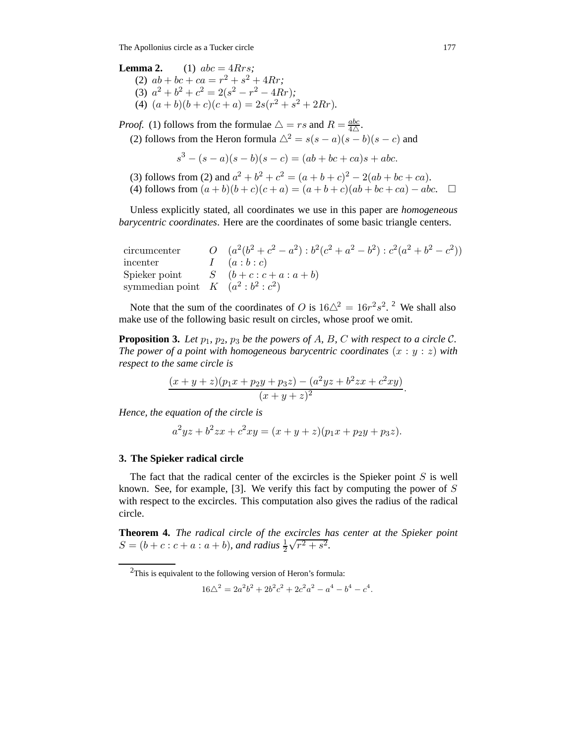The Apollonius circle as a Tucker circle 177

**Lemma 2.** (1)  $abc = 4Rrs$ ; (2)  $ab + bc + ca = r^2 + s^2 + 4Rr$ ; (3)  $a^2 + b^2 + c^2 = 2(s^2 - r^2 - 4Rr)$ ; (4)  $(a + b)(b + c)(c + a) = 2s(r^2 + s^2 + 2Rr)$ .

*Proof.* (1) follows from the formulae  $\triangle = rs$  and  $R = \frac{abc}{4\triangle}$ . (2) follows from the Heron formula  $\triangle^2 = s(s-a)(s-b)(s-c)$  and

 $s<sup>3</sup> - (s - a)(s - b)(s - c) = (ab + bc + ca)s + abc.$ 

(3) follows from (2) and  $a^2 + b^2 + c^2 = (a + b + c)^2 - 2(ab + bc + ca)$ . (4) follows from  $(a + b)(b + c)(c + a) = (a + b + c)(ab + bc + ca) - abc$ . □

Unless explicitly stated, all coordinates we use in this paper are *homogeneous barycentric coordinates*. Here are the coordinates of some basic triangle centers.

| circumcenter                     | O $(a^2(b^2+c^2-a^2): b^2(c^2+a^2-b^2): c^2(a^2+b^2-c^2))$ |
|----------------------------------|------------------------------------------------------------|
| incenter                         | $I \left( a:b:c \right)$                                   |
|                                  | Spieker point $S(b+c:c+a:a+b)$                             |
| symmedian point $K(a^2:b^2:c^2)$ |                                                            |

Note that the sum of the coordinates of O is  $16\Delta^2 = 16r^2s^2$ . <sup>2</sup> We shall also make use of the following basic result on circles, whose proof we omit.

**Proposition 3.** *Let*  $p_1$ *,*  $p_2$ *,*  $p_3$  *be the powers of A, B, C with respect to a circle C. The power of a point with homogeneous barycentric coordinates*  $(x : y : z)$  *with respect to the same circle is*

$$
\frac{(x+y+z)(p_1x+p_2y+p_3z)-(a^2yz+b^2zx+c^2xy)}{(x+y+z)^2}.
$$

*Hence, the equation of the circle is*

$$
a2yz + b2zx + c2xy = (x + y + z)(p1x + p2y + p3z).
$$

## **3. The Spieker radical circle**

The fact that the radical center of the excircles is the Spieker point  $S$  is well known. See, for example,  $[3]$ . We verify this fact by computing the power of S with respect to the excircles. This computation also gives the radius of the radical circle.

**Theorem 4.** *The radical circle of the excircles has center at the Spieker point*  $S = (b + c : c + a : a + b)$ *, and radius*  $\frac{1}{2}$  $\sqrt{r^2 + s^2}$ .

$$
16\Delta^2 = 2a^2b^2 + 2b^2c^2 + 2c^2a^2 - a^4 - b^4 - c^4.
$$

<sup>2</sup>This is equivalent to the following version of Heron's formula: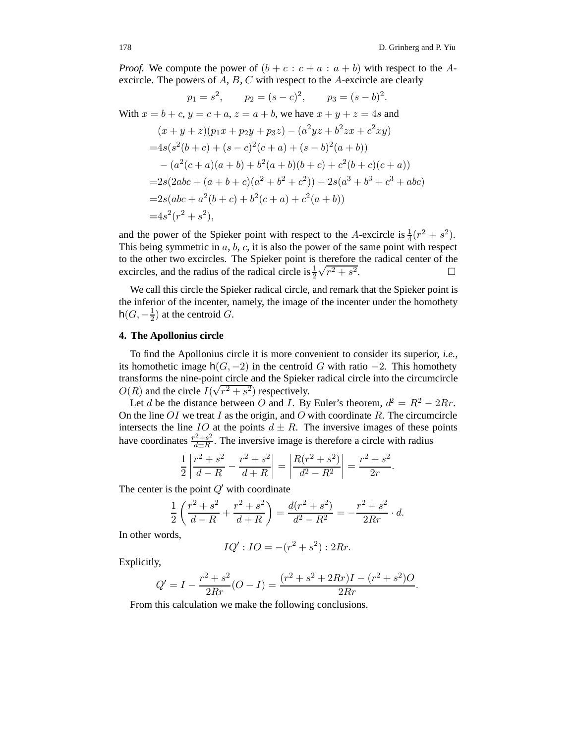*Proof.* We compute the power of  $(b + c : c + a : a + b)$  with respect to the Aexcircle. The powers of  $A, B, C$  with respect to the  $A$ -excircle are clearly

$$
p_1 = s^2, \qquad p_2 = (s - c)^2, \qquad p_3 = (s - b)^2.
$$
  
With  $x = b + c, y = c + a, z = a + b$ , we have  $x + y + z = 4s$  and  

$$
(x + y + z)(p_1x + p_2y + p_3z) - (a^2yz + b^2zx + c^2xy)
$$

$$
= 4s(s^2(b + c) + (s - c)^2(c + a) + (s - b)^2(a + b))
$$

$$
- (a^2(c + a)(a + b) + b^2(a + b)(b + c) + c^2(b + c)(c + a))
$$

$$
= 2s(2abc + (a + b + c)(a^2 + b^2 + c^2)) - 2s(a^3 + b^3 + c^3 + abc)
$$

$$
= 2s(abc + a^2(b + c) + b^2(c + a) + c^2(a + b))
$$

$$
= 4s^2(r^2 + s^2),
$$

and the power of the Spieker point with respect to the A-excircle is  $\frac{1}{4}(r^2 + s^2)$ . This being symmetric in  $a, b, c$ , it is also the power of the same point with respect to the other two excircles. The Spieker point is therefore the radical center of the excircles, and the radius of the radical circle is  $\frac{1}{2}$  $\sqrt{r^2 + s^2}$ .

We call this circle the Spieker radical circle, and remark that the Spieker point is the inferior of the incenter, namely, the image of the incenter under the homothety  $h(G, -\frac{1}{2})$  at the centroid G.

## **4. The Apollonius circle**

To find the Apollonius circle it is more convenient to consider its superior, *i.e.*, its homothetic image  $h(G, -2)$  in the centroid G with ratio  $-2$ . This homothety transforms the nine-point circle and the Spieker radical circle into the circumcircle  $O(R)$  and the circle  $I(\sqrt{r^2 + s^2})$  respectively.

Let d be the distance between O and I. By Euler's theorem,  $d^2 = R^2 - 2Rr$ . On the line  $OI$  we treat  $I$  as the origin, and  $O$  with coordinate  $R$ . The circumcircle intersects the line IO at the points  $d \pm R$ . The inversive images of these points have coordinates  $\frac{r^2+s^2}{d\pm R}$ . The inversive image is therefore a circle with radius

$$
\frac{1}{2} \left| \frac{r^2 + s^2}{d - R} - \frac{r^2 + s^2}{d + R} \right| = \left| \frac{R(r^2 + s^2)}{d^2 - R^2} \right| = \frac{r^2 + s^2}{2r}.
$$

The center is the point  $Q'$  with coordinate

$$
\frac{1}{2}\left(\frac{r^2+s^2}{d-R}+\frac{r^2+s^2}{d+R}\right)=\frac{d(r^2+s^2)}{d^2-R^2}=-\frac{r^2+s^2}{2Rr}\cdot d.
$$

In other words,

$$
IQ': IO = -(r^2 + s^2): 2Rr.
$$

Explicitly,

$$
Q' = I - \frac{r^2 + s^2}{2Rr}(O - I) = \frac{(r^2 + s^2 + 2Rr)I - (r^2 + s^2)O}{2Rr}.
$$

From this calculation we make the following conclusions.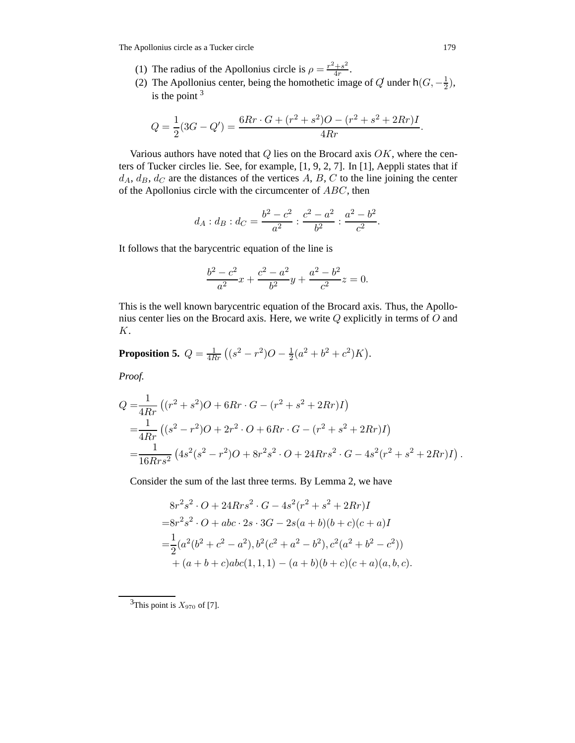The Apollonius circle as a Tucker circle 179

- (1) The radius of the Apollonius circle is  $\rho = \frac{r^2 + s^2}{4r}$ .
- (2) The Apollonius center, being the homothetic image of  $Q$  under  $h(G, -\frac{1}{2})$ , is the point  $3$

$$
Q = \frac{1}{2}(3G - Q') = \frac{6Rr \cdot G + (r^2 + s^2)O - (r^2 + s^2 + 2Rr)I}{4Rr}.
$$

Various authors have noted that  $Q$  lies on the Brocard axis  $OK$ , where the centers of Tucker circles lie. See, for example, [1, 9, 2, 7]. In [1], Aeppli states that if  $d_A, d_B, d_C$  are the distances of the vertices A, B, C to the line joining the center of the Apollonius circle with the circumcenter of ABC, then

$$
d_A: d_B: d_C = \frac{b^2 - c^2}{a^2} : \frac{c^2 - a^2}{b^2} : \frac{a^2 - b^2}{c^2}.
$$

It follows that the barycentric equation of the line is

$$
\frac{b^2 - c^2}{a^2}x + \frac{c^2 - a^2}{b^2}y + \frac{a^2 - b^2}{c^2}z = 0.
$$

This is the well known barycentric equation of the Brocard axis. Thus, the Apollonius center lies on the Brocard axis. Here, we write Q explicitly in terms of O and K.

**Proposition 5.** 
$$
Q = \frac{1}{4Rr} ((s^2 - r^2)O - \frac{1}{2}(a^2 + b^2 + c^2)K).
$$

*Proof.*

$$
Q = \frac{1}{4Rr} \left( (r^2 + s^2)O + 6Rr \cdot G - (r^2 + s^2 + 2Rr)I \right)
$$
  
= 
$$
\frac{1}{4Rr} \left( (s^2 - r^2)O + 2r^2 \cdot O + 6Rr \cdot G - (r^2 + s^2 + 2Rr)I \right)
$$
  
= 
$$
\frac{1}{16Rrs^2} \left( 4s^2(s^2 - r^2)O + 8r^2s^2 \cdot O + 24Rrs^2 \cdot G - 4s^2(r^2 + s^2 + 2Rr)I \right).
$$

Consider the sum of the last three terms. By Lemma 2, we have

$$
8r2s2 \cdot O + 24Rrs2 \cdot G - 4s2(r2 + s2 + 2Rr)I
$$
  
=8r<sup>2</sup>s<sup>2</sup> \cdot O + abc \cdot 2s \cdot 3G - 2s(a + b)(b + c)(c + a)I  
=
$$
\frac{1}{2}(a2(b2 + c2 - a2), b2(c2 + a2 - b2), c2(a2 + b2 - c2))
$$
  
+ (a + b + c)abc(1, 1, 1) - (a + b)(b + c)(c + a)(a, b, c).

 $3$ This point is  $X_{970}$  of [7].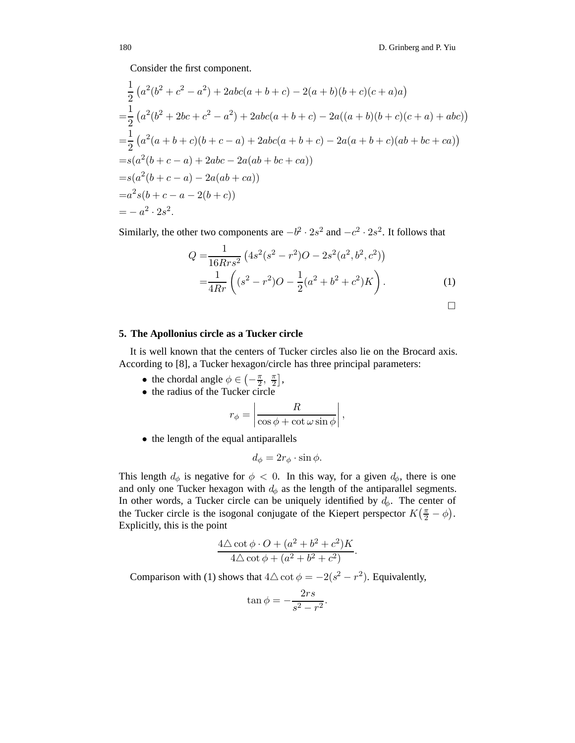Consider the first component.

$$
\frac{1}{2} (a^2(b^2 + c^2 - a^2) + 2abc(a + b + c) - 2(a + b)(b + c)(c + a)a)
$$
  
= 
$$
\frac{1}{2} (a^2(b^2 + 2bc + c^2 - a^2) + 2abc(a + b + c) - 2a((a + b)(b + c)(c + a) + abc))
$$
  
= 
$$
\frac{1}{2} (a^2(a + b + c)(b + c - a) + 2abc(a + b + c) - 2a(a + b + c)(ab + bc + ca))
$$
  
= 
$$
s(a^2(b + c - a) + 2abc - 2a(ab + bc + ca))
$$
  
= 
$$
s(a^2(b + c - a) - 2a(ab + ca))
$$
  
= 
$$
a^2s(b + c - a - 2(b + c))
$$
  
= 
$$
-a^2 \cdot 2s^2.
$$

Similarly, the other two components are  $-b^2 \cdot 2s^2$  and  $-c^2 \cdot 2s^2$ . It follows that

$$
Q = \frac{1}{16Rrs^2} \left( 4s^2(s^2 - r^2)O - 2s^2(a^2, b^2, c^2) \right)
$$
  
= 
$$
\frac{1}{4Rr} \left( (s^2 - r^2)O - \frac{1}{2}(a^2 + b^2 + c^2)K \right).
$$
 (1)

$$
\Box
$$

#### **5. The Apollonius circle as a Tucker circle**

It is well known that the centers of Tucker circles also lie on the Brocard axis. According to [8], a Tucker hexagon/circle has three principal parameters:

- the chordal angle  $\phi \in \left(-\frac{\pi}{2}, \frac{\pi}{2}\right]$ ,
- the radius of the Tucker circle

$$
r_{\phi} = \left| \frac{R}{\cos \phi + \cot \omega \sin \phi} \right|,
$$

• the length of the equal antiparallels

$$
d_{\phi} = 2r_{\phi} \cdot \sin \phi.
$$

This length  $d_{\phi}$  is negative for  $\phi < 0$ . In this way, for a given  $d_{\phi}$ , there is one and only one Tucker hexagon with  $d_{\phi}$  as the length of the antiparallel segments. In other words, a Tucker circle can be uniquely identified by  $d_{\phi}$ . The center of the Tucker circle is the isogonal conjugate of the Kiepert perspector  $K(\frac{\pi}{2} - \phi)$ . Explicitly, this is the point

$$
\frac{4\Delta \cot \phi \cdot O + (a^2 + b^2 + c^2)K}{4\Delta \cot \phi + (a^2 + b^2 + c^2)}.
$$

Comparison with (1) shows that  $4\Delta \cot \phi = -2(s^2 - r^2)$ . Equivalently,

$$
\tan \phi = -\frac{2rs}{s^2 - r^2}.
$$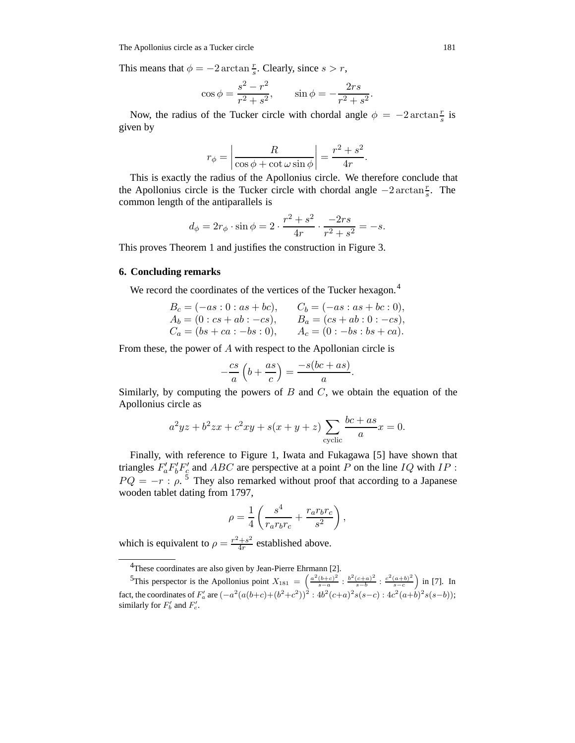This means that  $\phi = -2 \arctan \frac{r}{s}$ . Clearly, since  $s > r$ ,

$$
\cos \phi = \frac{s^2 - r^2}{r^2 + s^2}, \qquad \sin \phi = -\frac{2rs}{r^2 + s^2}.
$$

Now, the radius of the Tucker circle with chordal angle  $\phi = -2 \arctan \frac{r}{s}$  is given by

$$
r_{\phi} = \left| \frac{R}{\cos \phi + \cot \omega \sin \phi} \right| = \frac{r^2 + s^2}{4r}.
$$

This is exactly the radius of the Apollonius circle. We therefore conclude that the Apollonius circle is the Tucker circle with chordal angle  $-2 \arctan \frac{r}{s}$ . The common length of the antiparallels is

$$
d_{\phi} = 2r_{\phi} \cdot \sin \phi = 2 \cdot \frac{r^2 + s^2}{4r} \cdot \frac{-2rs}{r^2 + s^2} = -s.
$$

This proves Theorem 1 and justifies the construction in Figure 3.

#### **6. Concluding remarks**

We record the coordinates of the vertices of the Tucker hexagon.<sup>4</sup>

$$
B_c = (-as: 0: as + bc), \t C_b = (-as: as + bc: 0),
$$
  
\n
$$
A_b = (0: cs + ab: -cs), \t B_a = (cs + ab: 0: -cs),
$$
  
\n
$$
C_a = (bs + ca: -bs: 0), \t A_c = (0: -bs: bs + ca).
$$

From these, the power of A with respect to the Apollonian circle is

$$
-\frac{cs}{a}\left(b+\frac{as}{c}\right) = \frac{-s(bc+as)}{a}.
$$

Similarly, by computing the powers of  $B$  and  $C$ , we obtain the equation of the Apollonius circle as

$$
a2yz + b2zx + c2xy + s(x + y + z) \sum_{\text{cyclic}} \frac{bc + as}{a} x = 0.
$$

Finally, with reference to Figure 1, Iwata and Fukagawa [5] have shown that triangles  $F_a' F_b' F_c'$  and ABC are perspective at a point P on the line IQ with IP :  $PQ = -r \cdot \rho$ .<sup>5</sup> They also remarked without proof that according to a Japanese wooden tablet dating from 1797,

$$
\rho = \frac{1}{4} \left( \frac{s^4}{r_a r_b r_c} + \frac{r_a r_b r_c}{s^2} \right),
$$

which is equivalent to  $\rho = \frac{r^2 + s^2}{4r}$  established above.

<sup>&</sup>lt;sup>4</sup>These coordinates are also given by Jean-Pierre Ehrmann [2].

<sup>5</sup>This perspector is the Apollonius point  $X_{181} = \left( \frac{a^2(b+c)^2}{s-a} : \frac{b^2(c+a)^2}{s-b} : \frac{c^2(a+b)^2}{s-c} \right)$  in [7]. In fact, the coordinates of  $F'_a$  are  $(-a^2(a(b+c)+(b^2+c^2))^2: 4b^2(c+a)^2s(s-c): 4c^2(a+b)^2s(s-b));$ similarly for  $F'_{b}$  and  $F'_{c}$ .